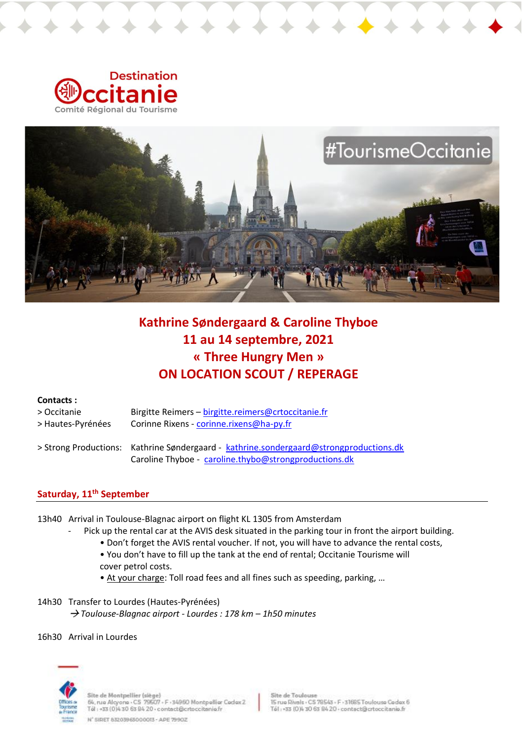



# **Kathrine Søndergaard & Caroline Thyboe 11 au 14 septembre, 2021 « Three Hungry Men » ON LOCATION SCOUT / REPERAGE**

# **Contacts :**

| > Occitanie       | Birgitte Reimers - birgitte.reimers@crtoccitanie.fr                                    |
|-------------------|----------------------------------------------------------------------------------------|
| > Hautes-Pyrénées | Corinne Rixens - corinne.rixens@ha-py.fr                                               |
|                   | > Strong Productions: Kathrine Søndergaard - kathrine.sondergaard@strongproductions.dk |
|                   | Caroline Thyboe - caroline.thybo@strongproductions.dk                                  |

# **Saturday, 11th September**

- 13h40 Arrival in Toulouse-Blagnac airport on flight KL 1305 from Amsterdam
	- Pick up the rental car at the AVIS desk situated in the parking tour in front the airport building.
		- Don't forget the AVIS rental voucher. If not, you will have to advance the rental costs,
		- You don't have to fill up the tank at the end of rental; Occitanie Tourisme will cover petrol costs.
		- At your charge: Toll road fees and all fines such as speeding, parking, …
- 14h30 Transfer to Lourdes (Hautes-Pyrénées) *Toulouse-Blagnac airport - Lourdes : 178 km – 1h50 minutes*
- 16h30 Arrival in Lourdes



Site de Montpellier (siège)<br>64, rue Alcyone - CS-79507 - F -34960 Montpellier Cedex 2<br>Tél : +33 (0)4 30 63 84 20 - contact@crtoccitanie.fr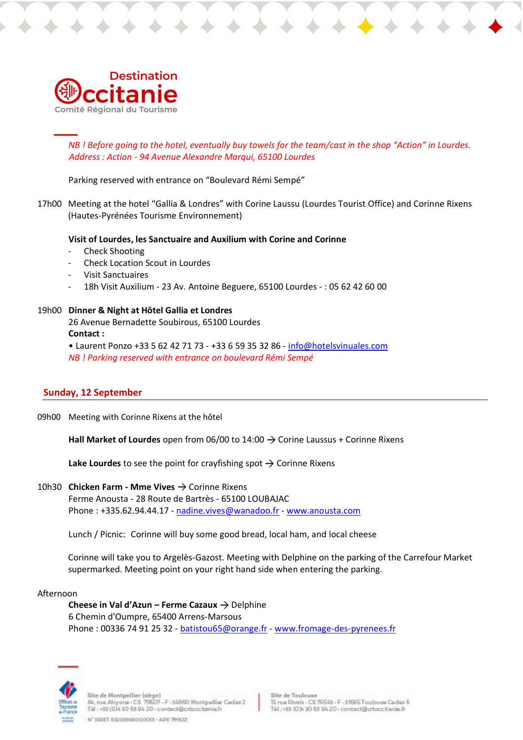

*NB ! Before going to the hotel, eventually buy towels for the team/cast in the shop "Action" in Lourdes. Address : Action - 94 Avenue Alexandre Marqui, 65100 Lourdes*

Parking reserved with entrance on "Boulevard Rémi Sempé"

17h00 Meeting at the hotel "Gallia & Londres" with Corine Laussu (Lourdes Tourist Office) and Corinne Rixens (Hautes-Pyrénées Tourisme Environnement)

#### **Visit of Lourdes, les Sanctuaire and Auxilium with Corine and Corinne**

- Check Shooting
- Check Location Scout in Lourdes
- Visit Sanctuaires
- 18h Visit Auxilium 23 Av. Antoine Beguere, 65100 Lourdes : 05 62 42 60 00

#### 19h00 **Dinner & Night at Hôtel Gallia et Londres**

26 Avenue Bernadette Soubirous, 65100 Lourdes **Contact :** 

• Laurent Ponzo +33 5 62 42 71 73 - +33 6 59 35 32 86 - [info@hotelsvinuales.com](mailto:info@hotelsvinuales.com) *NB ! Parking reserved with entrance on boulevard Rémi Sempé* 

#### **Sunday, 12 September**

09h00 Meeting with Corinne Rixens at the hôtel

**Hall Market of Lourdes** open from 06/00 to 14:00  $\rightarrow$  Corine Laussus + Corinne Rixens

**Lake Lourdes** to see the point for crayfishing spot  $\rightarrow$  Corinne Rixens

# 10h30 **Chicken Farm - Mme Vives →** Corinne Rixens

Ferme Anousta - 28 Route de Bartrès - 65100 LOUBAJAC Phone : +335.62.94.44.17 - [nadine.vives@wanadoo.fr](mailto:nadine.vives@wanadoo.fr) - [www.anousta.com](http://www.anousta.com/)

Lunch / Picnic: Corinne will buy some good bread, local ham, and local cheese

Corinne will take you to Argelès-Gazost. Meeting with Delphine on the parking of the Carrefour Market supermarked. Meeting point on your right hand side when entering the parking.

#### Afternoon

**Cheese in Val d'Azun – Ferme Cazaux**  $\rightarrow$  **Delphine** 6 Chemin d'Oumpre, 65400 Arrens-Marsous Phone : 00336 74 91 25 32 - [batistou65@orange.fr](mailto:batistou65@orange.fr) - [www.fromage-des-pyrenees.fr](http://www.fromage-des-pyrenees.fr/)



ite de Montpellier (siège) 64, rue Alcyone - CS 79507 - F - 34960 Montpellier Cedex 2<br>Tél : +33 (0)4 30 63 84 20 - contact@crtoccitanie.fr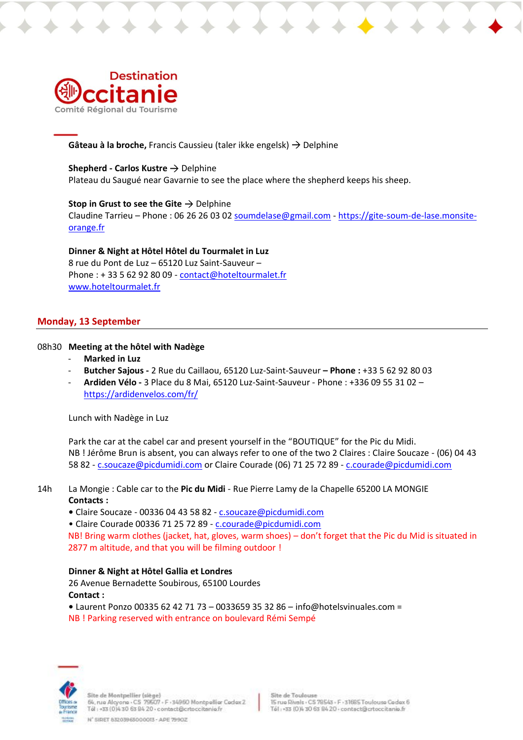

**Gâteau à la broche, Francis Caussieu (taler ikke engelsk) → Delphine** 

### **Shepherd - Carlos Kustre → Delphine**

Plateau du Saugué near Gavarnie to see the place where the shepherd keeps his sheep.

**Stop in Grust to see the Gite**  $\rightarrow$  **Delphine** Claudine Tarrieu - Phone : 06 26 26 03 0[2 soumdelase@gmail.com](mailto:soumdelase@gmail.com) - [https://gite-soum-de-lase.monsite](https://gite-soum-de-lase.monsite-orange.fr/)[orange.fr](https://gite-soum-de-lase.monsite-orange.fr/)

**Dinner & Night at Hôtel Hôtel du Tourmalet in Luz** 8 rue du Pont de Luz – 65120 Luz Saint-Sauveur – Phone : + 33 5 62 92 80 09 - [contact@hoteltourmalet.fr](mailto:contact@hoteltourmalet.fr) [www.hoteltourmalet.fr](http://www.hoteltourmalet.fr/) 

# **Monday, 13 September**

### 08h30 **Meeting at the hôtel with Nadège**

- **Marked in Luz**
- **Butcher Sajous -** 2 Rue du Caillaou, 65120 Luz-Saint-Sauveur **– Phone :** +33 5 62 92 80 03
- **Ardiden Vélo -** 3 Place du 8 Mai, 65120 Luz-Saint-Sauveur Phone : +336 09 55 31 02 <https://ardidenvelos.com/fr/>

Lunch with Nadège in Luz

Park the car at the cabel car and present yourself in the "BOUTIQUE" for the Pic du Midi. NB ! Jérôme Brun is absent, you can always refer to one of the two 2 Claires : Claire Soucaze - (06) 04 43 58 82 - [c.soucaze@picdumidi.com](mailto:c.soucaze@picdumidi.com) or Claire Courade (06) 71 25 72 89 - [c.courade@picdumidi.com](mailto:c.courade@picdumidi.com)

14h La Mongie : Cable car to the **Pic du Midi** - Rue Pierre Lamy de la Chapelle 65200 LA MONGIE **Contacts :** 

**•** Claire Soucaze - 00336 04 43 58 82 - [c.soucaze@picdumidi.com](mailto:c.soucaze@picdumidi.com)

• Claire Courade 00336 71 25 72 89 - [c.courade@picdumidi.com](mailto:c.courade@picdumidi.com) 

NB! Bring warm clothes (jacket, hat, gloves, warm shoes) – don't forget that the Pic du Mid is situated in 2877 m altitude, and that you will be filming outdoor !

# **Dinner & Night at Hôtel Gallia et Londres**

26 Avenue Bernadette Soubirous, 65100 Lourdes **Contact :** 

**•** Laurent Ponzo 00335 62 42 71 73 – 0033659 35 32 86 – info@hotelsvinuales.com = NB ! Parking reserved with entrance on boulevard Rémi Sempé